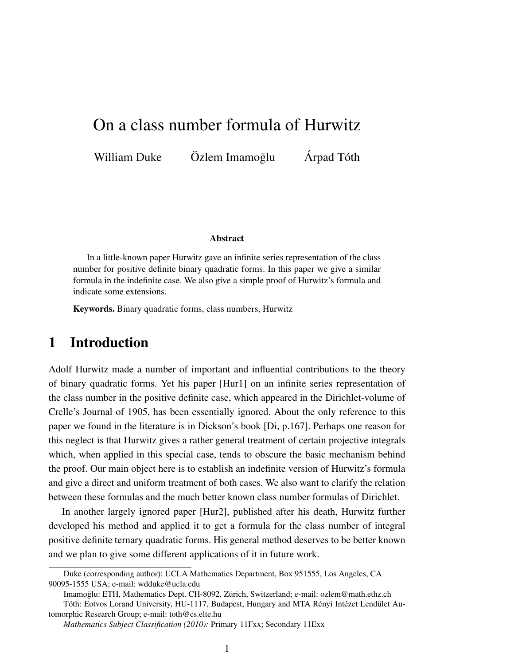# On a class number formula of Hurwitz

William Duke  $\ddot{\text{O}}$ zlem Imamoglu  $\ddot{\text{A}}$ rpad Tóth

#### Abstract

In a little-known paper Hurwitz gave an infinite series representation of the class number for positive definite binary quadratic forms. In this paper we give a similar formula in the indefinite case. We also give a simple proof of Hurwitz's formula and indicate some extensions.

Keywords. Binary quadratic forms, class numbers, Hurwitz

## 1 Introduction

Adolf Hurwitz made a number of important and influential contributions to the theory of binary quadratic forms. Yet his paper [Hur1] on an infinite series representation of the class number in the positive definite case, which appeared in the Dirichlet-volume of Crelle's Journal of 1905, has been essentially ignored. About the only reference to this paper we found in the literature is in Dickson's book [Di, p.167]. Perhaps one reason for this neglect is that Hurwitz gives a rather general treatment of certain projective integrals which, when applied in this special case, tends to obscure the basic mechanism behind the proof. Our main object here is to establish an indefinite version of Hurwitz's formula and give a direct and uniform treatment of both cases. We also want to clarify the relation between these formulas and the much better known class number formulas of Dirichlet.

In another largely ignored paper [Hur2], published after his death, Hurwitz further developed his method and applied it to get a formula for the class number of integral positive definite ternary quadratic forms. His general method deserves to be better known and we plan to give some different applications of it in future work.

Duke (corresponding author): UCLA Mathematics Department, Box 951555, Los Angeles, CA 90095-1555 USA; e-mail: wdduke@ucla.edu

Imamoglu: ETH, Mathematics Dept. CH-8092, Zürich, Switzerland; e-mail: ozlem@math.ethz.ch Tóth: Eotvos Lorand University, HU-1117, Budapest, Hungary and MTA Rényi Intézet Lendület Automorphic Research Group; e-mail: toth@cs.elte.hu

*Mathematics Subject Classification (2010):* Primary 11Fxx; Secondary 11Exx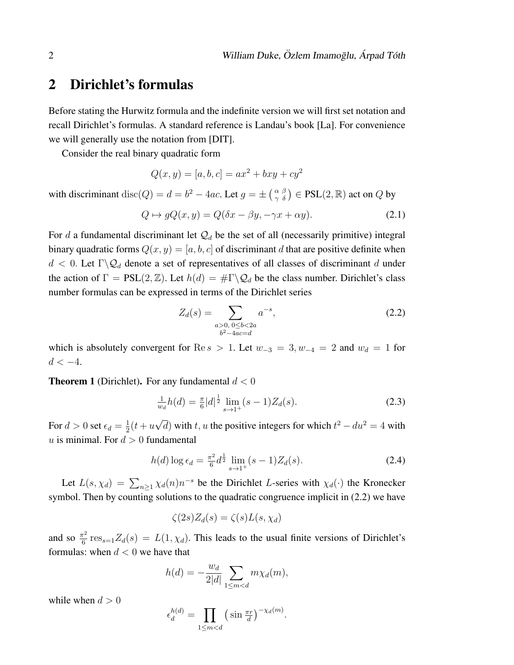# 2 Dirichlet's formulas

Before stating the Hurwitz formula and the indefinite version we will first set notation and recall Dirichlet's formulas. A standard reference is Landau's book [La]. For convenience we will generally use the notation from [DIT].

Consider the real binary quadratic form

$$
Q(x, y) = [a, b, c] = ax^{2} + bxy + cy^{2}
$$

with discriminant  $\text{disc}(Q) = d = b^2 - 4ac$ . Let  $g = \pm \left(\frac{\alpha}{\gamma} \frac{\beta}{\delta}\right) \in \text{PSL}(2, \mathbb{R})$  act on  $Q$  by

$$
Q \mapsto gQ(x, y) = Q(\delta x - \beta y, -\gamma x + \alpha y). \tag{2.1}
$$

For d a fundamental discriminant let  $\mathcal{Q}_d$  be the set of all (necessarily primitive) integral binary quadratic forms  $Q(x, y) = [a, b, c]$  of discriminant d that are positive definite when  $d < 0$ . Let  $\Gamma \backslash \mathcal{Q}_d$  denote a set of representatives of all classes of discriminant d under the action of  $\Gamma = \text{PSL}(2, \mathbb{Z})$ . Let  $h(d) = \#\Gamma \backslash \mathcal{Q}_d$  be the class number. Dirichlet's class number formulas can be expressed in terms of the Dirichlet series

$$
Z_d(s) = \sum_{\substack{a>0, \, 0 \le b < 2a \\ b^2 - 4ac = d}} a^{-s},\tag{2.2}
$$

which is absolutely convergent for Re s > 1. Let  $w_{-3} = 3, w_{-4} = 2$  and  $w_d = 1$  for  $d < -4$ .

**Theorem 1** (Dirichlet). For any fundamental  $d < 0$ 

$$
\frac{1}{w_d}h(d) = \frac{\pi}{6}|d|^{\frac{1}{2}}\lim_{s \to 1^+}(s-1)Z_d(s).
$$
 (2.3)

For  $d > 0$  set  $\epsilon_d = \frac{1}{2}$  $rac{1}{2}(t+u)$ √  $\overline{d}$ ) with t, u the positive integers for which  $t^2 - du^2 = 4$  with u is minimal. For  $d > 0$  fundamental

$$
h(d)\log\epsilon_d = \frac{\pi^2}{6}d^{\frac{1}{2}}\lim_{s\to 1^+} (s-1)Z_d(s).
$$
 (2.4)

Let  $L(s, \chi_d) = \sum_{n \geq 1} \chi_d(n) n^{-s}$  be the Dirichlet L-series with  $\chi_d(\cdot)$  the Kronecker symbol. Then by counting solutions to the quadratic congruence implicit in  $(2.2)$  we have

$$
\zeta(2s)Z_d(s) = \zeta(s)L(s,\chi_d)
$$

and so  $\frac{\pi^2}{6}$  $\frac{\tau^2}{6}$  res<sub>s=1</sub> $Z_d(s) = L(1, \chi_d)$ . This leads to the usual finite versions of Dirichlet's formulas: when  $d < 0$  we have that

$$
h(d) = -\frac{w_d}{2|d|} \sum_{1 \le m < d} m \chi_d(m),
$$

while when  $d > 0$ 

$$
\epsilon_d^{h(d)} = \prod_{1 \le m < d} \left( \sin \frac{\pi r}{d} \right)^{-\chi_d(m)}.
$$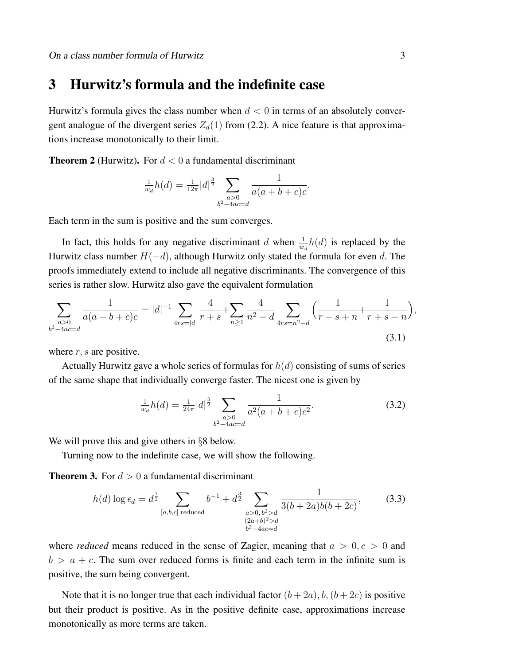#### 3 Hurwitz's formula and the indefinite case

Hurwitz's formula gives the class number when  $d < 0$  in terms of an absolutely convergent analogue of the divergent series  $Z_d(1)$  from (2.2). A nice feature is that approximations increase monotonically to their limit.

**Theorem 2** (Hurwitz). For  $d < 0$  a fundamental discriminant

$$
\frac{1}{w_d}h(d) = \frac{1}{12\pi}|d|^{\frac{3}{2}} \sum_{\substack{a>0 \ b^2-4ac=d}} \frac{1}{a(a+b+c)c}.
$$

Each term in the sum is positive and the sum converges.

In fact, this holds for any negative discriminant d when  $\frac{1}{w_d}h(d)$  is replaced by the Hurwitz class number  $H(-d)$ , although Hurwitz only stated the formula for even d. The proofs immediately extend to include all negative discriminants. The convergence of this series is rather slow. Hurwitz also gave the equivalent formulation

$$
\sum_{\substack{a>0\\b^2-4ac=d}}\frac{1}{a(a+b+c)c} = |d|^{-1}\sum_{4rs=|d|}\frac{4}{r+s} + \sum_{n\geq 1}\frac{4}{n^2-d}\sum_{4rs=n^2-d}\left(\frac{1}{r+s+n} + \frac{1}{r+s-n}\right),\tag{3.1}
$$

where  $r, s$  are positive.

Actually Hurwitz gave a whole series of formulas for  $h(d)$  consisting of sums of series of the same shape that individually converge faster. The nicest one is given by

$$
\frac{1}{w_d}h(d) = \frac{1}{24\pi}|d|^{\frac{5}{2}} \sum_{\substack{a>0\\b^2-4ac=d}} \frac{1}{a^2(a+b+c)c^2}.
$$
\n(3.2)

We will prove this and give others in §8 below.

Turning now to the indefinite case, we will show the following.

**Theorem 3.** For  $d > 0$  a fundamental discriminant

$$
h(d)\log \epsilon_d = d^{\frac{1}{2}} \sum_{[a,b,c] \text{ reduced}} b^{-1} + d^{\frac{3}{2}} \sum_{\substack{a>0, b^2 > d \\ (2a+b)^2 > d \\ b^2 - 4ac = d}} \frac{1}{3(b+2a)b(b+2c)},
$$
(3.3)

where *reduced* means reduced in the sense of Zagier, meaning that  $a > 0, c > 0$  and  $b > a + c$ . The sum over reduced forms is finite and each term in the infinite sum is positive, the sum being convergent.

Note that it is no longer true that each individual factor  $(b+2a)$ ,  $b$ ,  $(b+2c)$  is positive but their product is positive. As in the positive definite case, approximations increase monotonically as more terms are taken.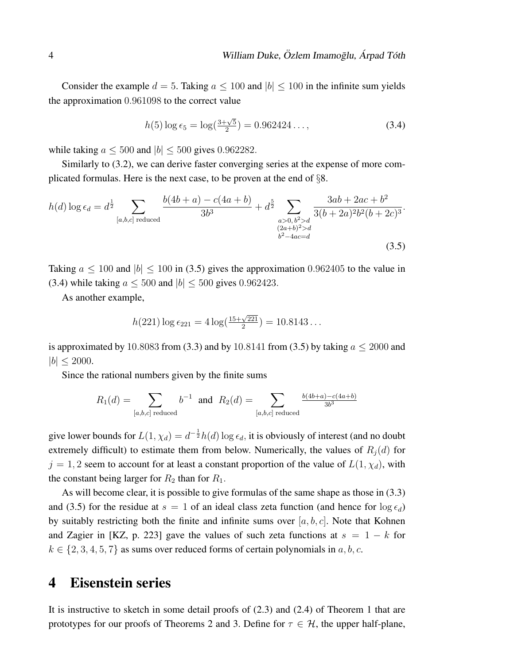Consider the example  $d = 5$ . Taking  $a \le 100$  and  $|b| \le 100$  in the infinite sum yields the approximation 0.961098 to the correct value

$$
h(5)\log \epsilon_5 = \log(\frac{3+\sqrt{5}}{2}) = 0.962424\ldots, \tag{3.4}
$$

while taking  $a \leq 500$  and  $|b| \leq 500$  gives 0.962282.

Similarly to (3.2), we can derive faster converging series at the expense of more complicated formulas. Here is the next case, to be proven at the end of §8.

$$
h(d) \log \epsilon_d = d^{\frac{1}{2}} \sum_{[a,b,c] \text{ reduced}} \frac{b(4b+a) - c(4a+b)}{3b^3} + d^{\frac{5}{2}} \sum_{\substack{a>0, b^2 > d \\ (2a+b)^2 > d \\ b^2 - 4ac = d}} \frac{3ab + 2ac + b^2}{3(b+2a)^2b^2(b+2c)^3}.
$$
\n(3.5)

Taking  $a \le 100$  and  $|b| \le 100$  in (3.5) gives the approximation 0.962405 to the value in (3.4) while taking  $a \le 500$  and  $|b| \le 500$  gives 0.962423.

As another example,

$$
h(221) \log \epsilon_{221} = 4 \log(\frac{15 + \sqrt{221}}{2}) = 10.8143\dots
$$

is approximated by 10.8083 from (3.3) and by 10.8141 from (3.5) by taking  $a \le 2000$  and  $|b| < 2000$ .

Since the rational numbers given by the finite sums

$$
R_1(d) = \sum_{[a,b,c] \text{ reduced}} b^{-1}
$$
 and  $R_2(d) = \sum_{[a,b,c] \text{ reduced}} \frac{b(4b+a)-c(4a+b)}{3b^3}$ 

give lower bounds for  $L(1, \chi_d) = d^{-\frac{1}{2}} h(d) \log \epsilon_d$ , it is obviously of interest (and no doubt extremely difficult) to estimate them from below. Numerically, the values of  $R_j(d)$  for  $j = 1, 2$  seem to account for at least a constant proportion of the value of  $L(1, \chi_d)$ , with the constant being larger for  $R_2$  than for  $R_1$ .

As will become clear, it is possible to give formulas of the same shape as those in (3.3) and (3.5) for the residue at  $s = 1$  of an ideal class zeta function (and hence for  $\log \epsilon_d$ ) by suitably restricting both the finite and infinite sums over  $[a, b, c]$ . Note that Kohnen and Zagier in [KZ, p. 223] gave the values of such zeta functions at  $s = 1 - k$  for  $k \in \{2, 3, 4, 5, 7\}$  as sums over reduced forms of certain polynomials in a, b, c.

### 4 Eisenstein series

It is instructive to sketch in some detail proofs of (2.3) and (2.4) of Theorem 1 that are prototypes for our proofs of Theorems 2 and 3. Define for  $\tau \in \mathcal{H}$ , the upper half-plane,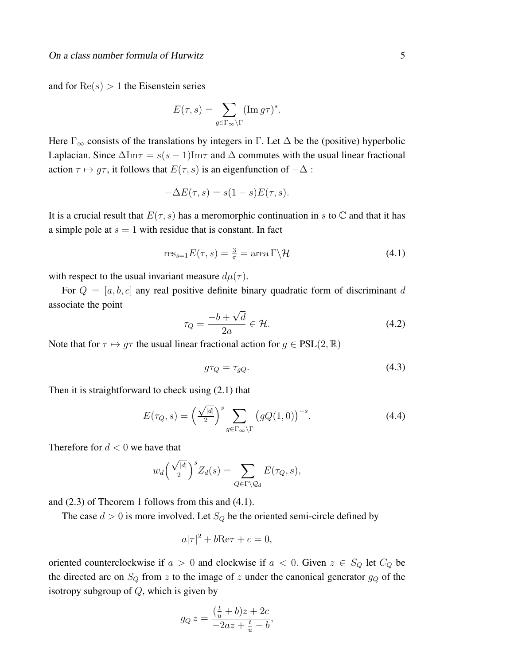and for  $Re(s) > 1$  the Eisenstein series

$$
E(\tau, s) = \sum_{g \in \Gamma_{\infty} \backslash \Gamma} (\operatorname{Im} g \tau)^s.
$$

Here  $\Gamma_{\infty}$  consists of the translations by integers in  $\Gamma$ . Let  $\Delta$  be the (positive) hyperbolic Laplacian. Since  $\Delta \text{Im}\tau = s(s-1) \text{Im}\tau$  and  $\Delta$  commutes with the usual linear fractional action  $\tau \mapsto g\tau$ , it follows that  $E(\tau, s)$  is an eigenfunction of  $-\Delta$ :

$$
-\Delta E(\tau, s) = s(1 - s)E(\tau, s).
$$

It is a crucial result that  $E(\tau, s)$  has a meromorphic continuation in s to  $\mathbb C$  and that it has a simple pole at  $s = 1$  with residue that is constant. In fact

$$
res_{s=1}E(\tau,s) = \frac{3}{\pi} = area \Gamma \backslash \mathcal{H}
$$
\n(4.1)

with respect to the usual invariant measure  $d\mu(\tau)$ .

For  $Q = [a, b, c]$  any real positive definite binary quadratic form of discriminant d associate the point √

$$
\tau_Q = \frac{-b + \sqrt{d}}{2a} \in \mathcal{H}.\tag{4.2}
$$

Note that for  $\tau \mapsto q\tau$  the usual linear fractional action for  $q \in PSL(2,\mathbb{R})$ 

$$
g\tau_Q = \tau_{gQ}.\tag{4.3}
$$

Then it is straightforward to check using (2.1) that

$$
E(\tau_Q, s) = \left(\frac{\sqrt{|d|}}{2}\right)^s \sum_{g \in \Gamma_\infty \backslash \Gamma} \left(gQ(1,0)\right)^{-s}.\tag{4.4}
$$

Therefore for  $d < 0$  we have that

$$
w_d \left(\frac{\sqrt{|d|}}{2}\right)^s Z_d(s) = \sum_{Q \in \Gamma \backslash \mathcal{Q}_d} E(\tau_Q, s),
$$

and (2.3) of Theorem 1 follows from this and (4.1).

The case  $d > 0$  is more involved. Let  $S_Q$  be the oriented semi-circle defined by

$$
a|\tau|^2 + b\text{Re}\tau + c = 0,
$$

oriented counterclockwise if  $a > 0$  and clockwise if  $a < 0$ . Given  $z \in S_Q$  let  $C_Q$  be the directed arc on  $S_Q$  from z to the image of z under the canonical generator  $g_Q$  of the isotropy subgroup of  $Q$ , which is given by

$$
g_Q z = \frac{(\frac{t}{u} + b)z + 2c}{-2az + \frac{t}{u} - b},
$$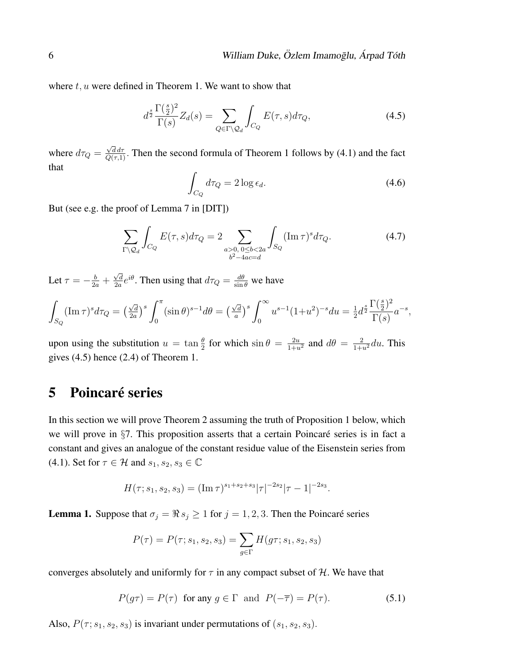where  $t, u$  were defined in Theorem 1. We want to show that

$$
d^{\frac{s}{2}} \frac{\Gamma(\frac{s}{2})^2}{\Gamma(s)} Z_d(s) = \sum_{Q \in \Gamma \backslash \mathcal{Q}_d} \int_{C_Q} E(\tau, s) d\tau_Q,
$$
\n(4.5)

where  $d\tau_Q =$  $\frac{\sqrt{d} d\tau}{Q(\tau,1)}$ . Then the second formula of Theorem 1 follows by (4.1) and the fact that

$$
\int_{C_Q} d\tau_Q = 2 \log \epsilon_d. \tag{4.6}
$$

But (see e.g. the proof of Lemma 7 in [DIT])

$$
\sum_{\Gamma \backslash \mathcal{Q}_d} \int_{C_Q} E(\tau, s) d\tau_Q = 2 \sum_{\substack{a > 0, 0 \le b < 2a \\ b^2 - 4ac = d}} \int_{S_Q} (\operatorname{Im} \tau)^s d\tau_Q. \tag{4.7}
$$

Let  $\tau = -\frac{b}{2a} +$ √ d  $\frac{\sqrt{d}}{2a}e^{i\theta}$ . Then using that  $d\tau_Q = \frac{d\theta}{\sin \theta}$  we have

$$
\int_{S_Q} (\operatorname{Im} \tau)^s d\tau_Q = \left(\frac{\sqrt{d}}{2a}\right)^s \int_0^\pi (\sin \theta)^{s-1} d\theta = \left(\frac{\sqrt{d}}{a}\right)^s \int_0^\infty u^{s-1} (1+u^2)^{-s} du = \frac{1}{2} d^{\frac{s}{2}} \frac{\Gamma(\frac{s}{2})^2}{\Gamma(s)} a^{-s},
$$

upon using the substitution  $u = \tan \frac{\theta}{2}$  for which  $\sin \theta = \frac{2u}{1+u^2}$  and  $d\theta = \frac{2}{1+u^2} du$ . This gives (4.5) hence (2.4) of Theorem 1.

## 5 Poincaré series

In this section we will prove Theorem 2 assuming the truth of Proposition 1 below, which we will prove in  $\S7$ . This proposition asserts that a certain Poincaré series is in fact a constant and gives an analogue of the constant residue value of the Eisenstein series from (4.1). Set for  $\tau \in \mathcal{H}$  and  $s_1, s_2, s_3 \in \mathbb{C}$ 

$$
H(\tau;s_1,s_2,s_3) = (\operatorname{Im} \tau)^{s_1+s_2+s_3} |\tau|^{-2s_2} |\tau-1|^{-2s_3}.
$$

**Lemma 1.** Suppose that  $\sigma_j = \Re s_j \ge 1$  for  $j = 1, 2, 3$ . Then the Poincaré series

$$
P(\tau) = P(\tau; s_1, s_2, s_3) = \sum_{g \in \Gamma} H(g\tau; s_1, s_2, s_3)
$$

converges absolutely and uniformly for  $\tau$  in any compact subset of H. We have that

$$
P(g\tau) = P(\tau) \text{ for any } g \in \Gamma \text{ and } P(-\overline{\tau}) = P(\tau). \tag{5.1}
$$

Also,  $P(\tau; s_1, s_2, s_3)$  is invariant under permutations of  $(s_1, s_2, s_3)$ .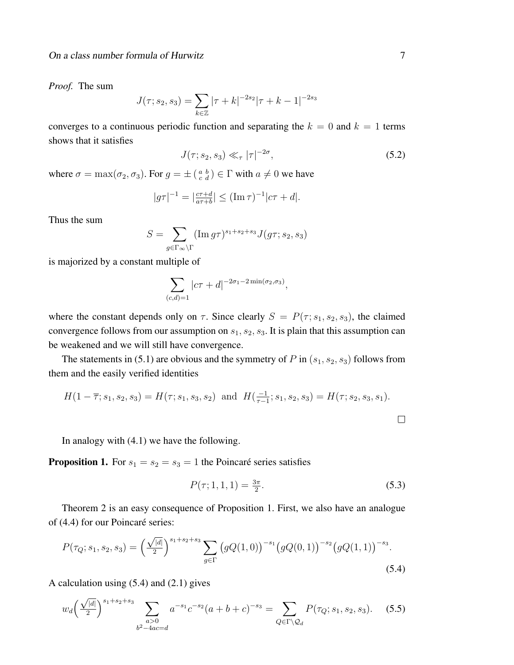*Proof.* The sum

$$
J(\tau;s_2,s_3) = \sum_{k \in \mathbb{Z}} |\tau + k|^{-2s_2} |\tau + k - 1|^{-2s_3}
$$

converges to a continuous periodic function and separating the  $k = 0$  and  $k = 1$  terms shows that it satisfies

$$
J(\tau;s_2,s_3) \ll_{\tau} |\tau|^{-2\sigma},\tag{5.2}
$$

where  $\sigma = \max(\sigma_2, \sigma_3)$ . For  $g = \pm \left( \begin{smallmatrix} a & b \\ c & d \end{smallmatrix} \right) \in \Gamma$  with  $a \neq 0$  we have

$$
|g\tau|^{-1} = |\frac{c\tau + d}{a\tau + b}| \le (\text{Im}\,\tau)^{-1}|c\tau + d|.
$$

Thus the sum

$$
S = \sum_{g \in \Gamma_{\infty} \backslash \Gamma} (\operatorname{Im} g \tau)^{s_1 + s_2 + s_3} J(g \tau; s_2, s_3)
$$

is majorized by a constant multiple of

$$
\sum_{(c,d)=1} |c\tau + d|^{-2\sigma_1 - 2\min(\sigma_2,\sigma_3)},
$$

where the constant depends only on  $\tau$ . Since clearly  $S = P(\tau; s_1, s_2, s_3)$ , the claimed convergence follows from our assumption on  $s_1, s_2, s_3$ . It is plain that this assumption can be weakened and we will still have convergence.

The statements in (5.1) are obvious and the symmetry of P in  $(s_1, s_2, s_3)$  follows from them and the easily verified identities

$$
H(1 - \overline{\tau}; s_1, s_2, s_3) = H(\tau; s_1, s_3, s_2) \text{ and } H(\frac{-1}{\tau - 1}; s_1, s_2, s_3) = H(\tau; s_2, s_3, s_1).
$$

In analogy with (4.1) we have the following.

**Proposition 1.** For  $s_1 = s_2 = s_3 = 1$  the Poincaré series satisfies

$$
P(\tau; 1, 1, 1) = \frac{3\pi}{2}.\tag{5.3}
$$

Theorem 2 is an easy consequence of Proposition 1. First, we also have an analogue of (4.4) for our Poincaré series:

$$
P(\tau_Q; s_1, s_2, s_3) = \left(\frac{\sqrt{|d|}}{2}\right)^{s_1 + s_2 + s_3} \sum_{g \in \Gamma} \left(gQ(1,0)\right)^{-s_1} \left(gQ(0,1)\right)^{-s_2} \left(gQ(1,1)\right)^{-s_3}.
$$
\n(5.4)

A calculation using (5.4) and (2.1) gives

$$
w_d \left(\frac{\sqrt{|d|}}{2}\right)^{s_1+s_2+s_3} \sum_{\substack{a>0\\b^2-4ac=d}} a^{-s_1} c^{-s_2} (a+b+c)^{-s_3} = \sum_{Q \in \Gamma \backslash \mathcal{Q}_d} P(\tau_Q; s_1, s_2, s_3). \tag{5.5}
$$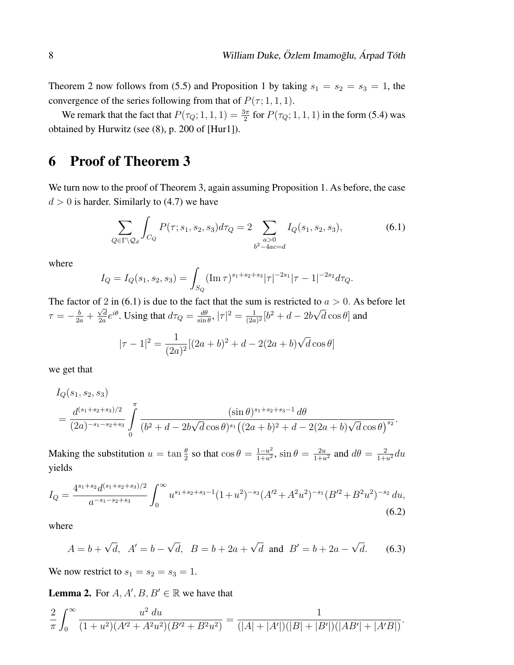Theorem 2 now follows from (5.5) and Proposition 1 by taking  $s_1 = s_2 = s_3 = 1$ , the convergence of the series following from that of  $P(\tau; 1, 1, 1)$ .

We remark that the fact that  $P(\tau_Q; 1, 1, 1) = \frac{3\pi}{2}$  for  $P(\tau_Q; 1, 1, 1)$  in the form (5.4) was obtained by Hurwitz (see (8), p. 200 of [Hur1]).

## 6 Proof of Theorem 3

We turn now to the proof of Theorem 3, again assuming Proposition 1. As before, the case  $d > 0$  is harder. Similarly to (4.7) we have

$$
\sum_{Q \in \Gamma \backslash \mathcal{Q}_d} \int_{C_Q} P(\tau; s_1, s_2, s_3) d\tau_Q = 2 \sum_{\substack{a > 0 \\ b^2 - 4ac = d}} I_Q(s_1, s_2, s_3), \tag{6.1}
$$

where

$$
I_Q = I_Q(s_1, s_2, s_3) = \int_{S_Q} (\operatorname{Im} \tau)^{s_1 + s_2 + s_3} |\tau|^{-2s_1} |\tau - 1|^{-2s_2} d\tau_Q.
$$

The factor of 2 in (6.1) is due to the fact that the sum is restricted to  $a > 0$ . As before let  $\tau = -\frac{b}{2a} +$  $\sqrt{d}$  $\frac{\sqrt{d}}{2a}e^{i\theta}$ . Using that  $d\tau_Q = \frac{d\theta}{\sin \theta}$  $\frac{d\theta}{\sin\theta}$ ,  $|\tau|^2 = \frac{1}{(2a)}$  $\frac{1}{(2a)^2} [b^2 + d - 2b]$  $\ddot{\phantom{0}}$  $d\cos\theta$  and

$$
|\tau - 1|^2 = \frac{1}{(2a)^2} [(2a+b)^2 + d - 2(2a+b)\sqrt{d}\cos\theta]
$$

we get that

$$
I_Q(s_1, s_2, s_3)
$$
  
= 
$$
\frac{d^{(s_1+s_2+s_3)/2}}{(2a)^{-s_1-s_2+s_3}} \int_{0}^{\pi} \frac{(\sin \theta)^{s_1+s_2+s_3-1} d\theta}{(b^2+d-2b\sqrt{d}\cos\theta)^{s_1}((2a+b)^2+d-2(2a+b)\sqrt{d}\cos\theta)^{s_2}}.
$$

Making the substitution  $u = \tan \frac{\theta}{2}$  so that  $\cos \theta = \frac{1 - u^2}{1 + u^2}$  $\frac{1-u^2}{1+u^2}$ ,  $\sin\theta = \frac{2u}{1+u^2}$  and  $d\theta = \frac{2}{1+u^2}du$ yields

$$
I_Q = \frac{4^{s_1+s_2}d^{(s_1+s_2+s_3)/2}}{a^{-s_1-s_2+s_3}} \int_0^\infty u^{s_1+s_2+s_3-1} (1+u^2)^{-s_3} (A'^2 + A^2 u^2)^{-s_1} (B'^2 + B^2 u^2)^{-s_2} du,
$$
\n
$$
(6.2)
$$

where

$$
A = b + \sqrt{d}
$$
,  $A' = b - \sqrt{d}$ ,  $B = b + 2a + \sqrt{d}$  and  $B' = b + 2a - \sqrt{d}$ . (6.3)

We now restrict to  $s_1 = s_2 = s_3 = 1$ .

**Lemma 2.** For  $A, A', B, B' \in \mathbb{R}$  we have that

$$
\frac{2}{\pi} \int_0^\infty \frac{u^2 \, du}{(1+u^2)(A'^2 + A^2 u^2)(B'^2 + B^2 u^2)} = \frac{1}{(|A| + |A'|)(|B| + |B'|)(|AB'| + |A'B|)}.
$$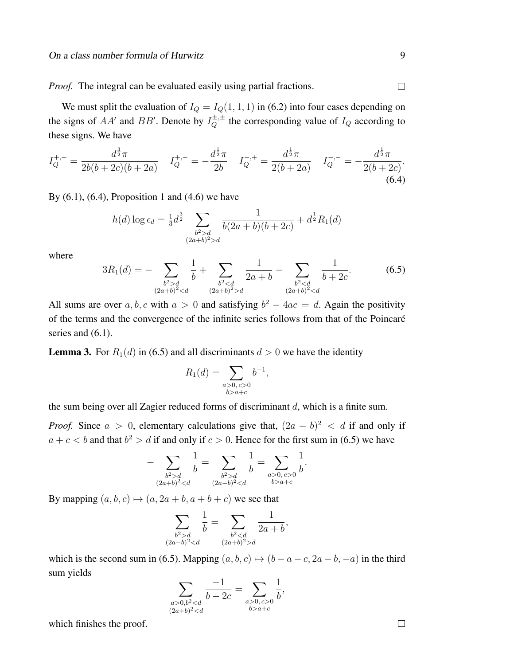*Proof.* The integral can be evaluated easily using partial fractions.

We must split the evaluation of  $I_Q = I_Q(1, 1, 1)$  in (6.2) into four cases depending on the signs of AA' and BB'. Denote by  $I_Q^{\pm, \pm}$  the corresponding value of  $I_Q$  according to these signs. We have

$$
I_Q^{+,+} = \frac{d^{\frac{3}{2}}\pi}{2b(b+2c)(b+2a)} \quad I_Q^{+,-} = -\frac{d^{\frac{1}{2}}\pi}{2b} \quad I_Q^{-,+} = \frac{d^{\frac{1}{2}}\pi}{2(b+2a)} \quad I_Q^{-,-} = -\frac{d^{\frac{1}{2}}\pi}{2(b+2c)}.
$$
\n
$$
(6.4)
$$

By  $(6.1)$ ,  $(6.4)$ , Proposition 1 and  $(4.6)$  we have

$$
h(d) \log \epsilon_d = \frac{1}{3} d^{\frac{3}{2}} \sum_{\substack{b^2 > d \\ (2a+b)^2 > d}} \frac{1}{b(2a+b)(b+2c)} + d^{\frac{1}{2}} R_1(d)
$$

where

$$
3R_1(d) = -\sum_{\substack{b^2 > d \\ (2a+b)^2 < d}} \frac{1}{b} + \sum_{\substack{b^2 < d \\ (2a+b)^2 > d}} \frac{1}{2a+b} - \sum_{\substack{b^2 < d \\ (2a+b)^2 < d}} \frac{1}{b+2c}.\tag{6.5}
$$

All sums are over a, b, c with  $a > 0$  and satisfying  $b^2 - 4ac = d$ . Again the positivity of the terms and the convergence of the infinite series follows from that of the Poincaré series and  $(6.1)$ .

**Lemma 3.** For  $R_1(d)$  in (6.5) and all discriminants  $d > 0$  we have the identity

$$
R_1(d) = \sum_{\substack{a>0, c>0 \\ b>a+c}} b^{-1},
$$

the sum being over all Zagier reduced forms of discriminant d, which is a finite sum.

*Proof.* Since  $a > 0$ , elementary calculations give that,  $(2a - b)^2 < d$  if and only if  $a + c < b$  and that  $b^2 > d$  if and only if  $c > 0$ . Hence for the first sum in (6.5) we have

$$
-\sum_{\substack{b^2 > d \\ (2a+b)^2 < d}} \frac{1}{b} = \sum_{\substack{b^2 > d \\ (2a-b)^2 < d}} \frac{1}{b} = \sum_{\substack{a > 0, c > 0 \\ b > a+c}} \frac{1}{b}.
$$

By mapping  $(a, b, c) \mapsto (a, 2a + b, a + b + c)$  we see that

$$
\sum_{\substack{b^2 > d \\ (2a-b)^2 < d}} \frac{1}{b} = \sum_{\substack{b^2 < d \\ (2a+b)^2 > d}} \frac{1}{2a+b},
$$

which is the second sum in (6.5). Mapping  $(a, b, c) \mapsto (b - a - c, 2a - b, -a)$  in the third sum yields

$$
\sum_{\substack{a>0,b^20,c>0\\b>a+c}}\frac{1}{b},
$$

which finishes the proof.

 $\Box$ 

 $\Box$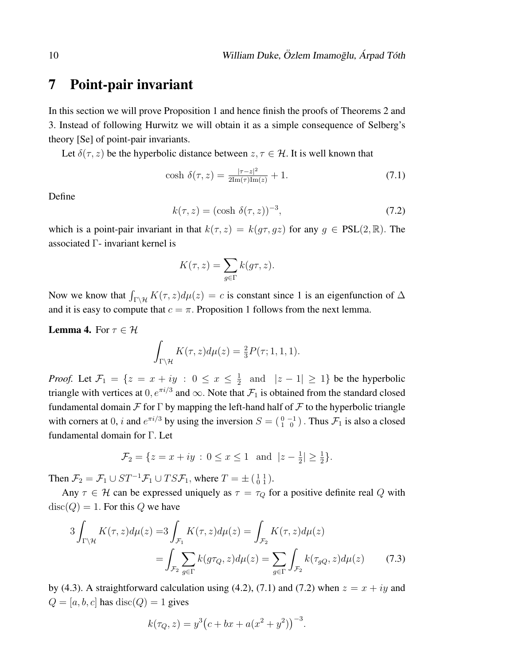### 7 Point-pair invariant

In this section we will prove Proposition 1 and hence finish the proofs of Theorems 2 and 3. Instead of following Hurwitz we will obtain it as a simple consequence of Selberg's theory [Se] of point-pair invariants.

Let  $\delta(\tau, z)$  be the hyperbolic distance between  $z, \tau \in \mathcal{H}$ . It is well known that

cosh 
$$
\delta(\tau, z) = \frac{|\tau - z|^2}{2\text{Im}(\tau)\text{Im}(z)} + 1.
$$
 (7.1)

Define

$$
k(\tau, z) = (\cosh \delta(\tau, z))^{-3},\tag{7.2}
$$

which is a point-pair invariant in that  $k(\tau, z) = k(g\tau, gz)$  for any  $g \in PSL(2, \mathbb{R})$ . The associated Γ- invariant kernel is

$$
K(\tau, z) = \sum_{g \in \Gamma} k(g\tau, z).
$$

Now we know that  $\int_{\Gamma \backslash \mathcal{H}} K(\tau, z)d\mu(z) = c$  is constant since 1 is an eigenfunction of  $\Delta$ and it is easy to compute that  $c = \pi$ . Proposition 1 follows from the next lemma.

**Lemma 4.** For  $\tau \in \mathcal{H}$ 

$$
\int_{\Gamma \backslash \mathcal{H}} K(\tau, z) d\mu(z) = \frac{2}{3} P(\tau; 1, 1, 1).
$$

*Proof.* Let  $\mathcal{F}_1 = \{z = x + iy : 0 \le x \le \frac{1}{2}\}$  $\frac{1}{2}$  and  $|z - 1| \ge 1$ } be the hyperbolic triangle with vertices at  $0, e^{\pi i/3}$  and  $\infty$ . Note that  $\mathcal{F}_1$  is obtained from the standard closed fundamental domain  $\mathcal F$  for  $\Gamma$  by mapping the left-hand half of  $\mathcal F$  to the hyperbolic triangle with corners at 0, *i* and  $e^{\pi i/3}$  by using the inversion  $S = \begin{pmatrix} 0 & -1 \\ 1 & 0 \end{pmatrix}$ . Thus  $\mathcal{F}_1$  is also a closed fundamental domain for Γ. Let

$$
\mathcal{F}_2 = \{ z = x + iy : 0 \le x \le 1 \text{ and } |z - \frac{1}{2}| \ge \frac{1}{2} \}.
$$

Then  $\mathcal{F}_2 = \mathcal{F}_1 \cup ST^{-1}\mathcal{F}_1 \cup TST_1$ , where  $T = \pm \begin{pmatrix} 1 & 1 \\ 0 & 1 \end{pmatrix}$ .

Any  $\tau \in \mathcal{H}$  can be expressed uniquely as  $\tau = \tau_Q$  for a positive definite real Q with  $\text{disc}(Q) = 1$ . For this Q we have

$$
3\int_{\Gamma\backslash\mathcal{H}} K(\tau,z)d\mu(z) = 3\int_{\mathcal{F}_1} K(\tau,z)d\mu(z) = \int_{\mathcal{F}_2} K(\tau,z)d\mu(z) = \int_{\mathcal{F}_2} \sum_{g\in\Gamma} k(g\tau_Q, z)d\mu(z) = \sum_{g\in\Gamma} \int_{\mathcal{F}_2} k(\tau_{gQ}, z)d\mu(z)
$$
(7.3)

by (4.3). A straightforward calculation using (4.2), (7.1) and (7.2) when  $z = x + iy$  and  $Q = [a, b, c]$  has  $disc(Q) = 1$  gives

$$
k(\tau_Q, z) = y^3 (c + bx + a(x^2 + y^2))^{-3}.
$$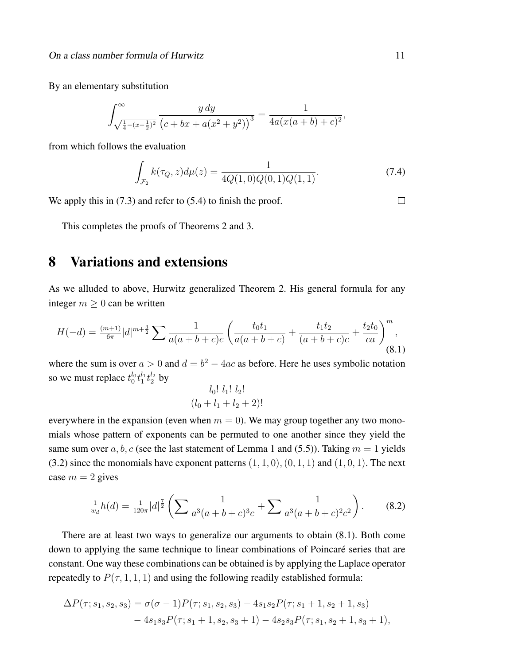By an elementary substitution

$$
\int_{\sqrt{\frac{1}{4}-(x-\frac{1}{2})^2}}^{\infty} \frac{y \, dy}{(c+bx+a(x^2+y^2))^3} = \frac{1}{4a(x(a+b)+c)^2},
$$

from which follows the evaluation

$$
\int_{\mathcal{F}_2} k(\tau_Q, z) d\mu(z) = \frac{1}{4Q(1,0)Q(0,1)Q(1,1)}.\tag{7.4}
$$

We apply this in  $(7.3)$  and refer to  $(5.4)$  to finish the proof.

This completes the proofs of Theorems 2 and 3.

## 8 Variations and extensions

As we alluded to above, Hurwitz generalized Theorem 2. His general formula for any integer  $m \geq 0$  can be written

$$
H(-d) = \frac{(m+1)}{6\pi} |d|^{m+\frac{3}{2}} \sum \frac{1}{a(a+b+c)c} \left( \frac{t_0 t_1}{a(a+b+c)} + \frac{t_1 t_2}{(a+b+c)c} + \frac{t_2 t_0}{ca} \right)^m,
$$
\n(8.1)

where the sum is over  $a > 0$  and  $d = b^2 - 4ac$  as before. Here he uses symbolic notation so we must replace  $t_0^{l_0} t_1^{l_1} t_2^{l_2}$  by 1 **1 1 1 1** 

$$
\frac{l_0! l_1! l_2!}{(l_0 + l_1 + l_2 + 2)!}
$$

everywhere in the expansion (even when  $m = 0$ ). We may group together any two monomials whose pattern of exponents can be permuted to one another since they yield the same sum over a, b, c (see the last statement of Lemma 1 and (5.5)). Taking  $m = 1$  yields  $(3.2)$  since the monomials have exponent patterns  $(1, 1, 0), (0, 1, 1)$  and  $(1, 0, 1)$ . The next case  $m = 2$  gives

$$
\frac{1}{w_d}h(d) = \frac{1}{120\pi}|d|^{\frac{7}{2}} \left( \sum \frac{1}{a^3(a+b+c)^3c} + \sum \frac{1}{a^3(a+b+c)^2c^2} \right). \tag{8.2}
$$

There are at least two ways to generalize our arguments to obtain (8.1). Both come down to applying the same technique to linear combinations of Poincaré series that are constant. One way these combinations can be obtained is by applying the Laplace operator repeatedly to  $P(\tau, 1, 1, 1)$  and using the following readily established formula:

$$
\Delta P(\tau; s_1, s_2, s_3) = \sigma(\sigma - 1)P(\tau; s_1, s_2, s_3) - 4s_1s_2P(\tau; s_1 + 1, s_2 + 1, s_3)
$$
  
- 4s\_1s\_3P(\tau; s\_1 + 1, s\_2, s\_3 + 1) - 4s\_2s\_3P(\tau; s\_1, s\_2 + 1, s\_3 + 1),

 $\Box$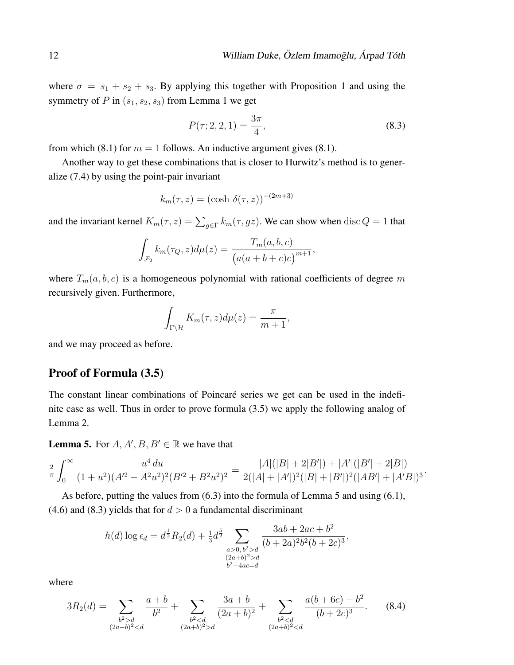where  $\sigma = s_1 + s_2 + s_3$ . By applying this together with Proposition 1 and using the symmetry of P in  $(s_1, s_2, s_3)$  from Lemma 1 we get

$$
P(\tau; 2, 2, 1) = \frac{3\pi}{4},\tag{8.3}
$$

from which (8.1) for  $m = 1$  follows. An inductive argument gives (8.1).

Another way to get these combinations that is closer to Hurwitz's method is to generalize (7.4) by using the point-pair invariant

$$
k_m(\tau, z) = (\cosh \delta(\tau, z))^{-(2m+3)}
$$

and the invariant kernel  $K_m(\tau, z) = \sum_{g \in \Gamma} k_m(\tau, gz)$ . We can show when  $\text{disc } Q = 1$  that

$$
\int_{\mathcal{F}_2} k_m(\tau_Q, z) d\mu(z) = \frac{T_m(a, b, c)}{(a(a+b+c)c)^{m+1}},
$$

where  $T_m(a, b, c)$  is a homogeneous polynomial with rational coefficients of degree m recursively given. Furthermore,

$$
\int_{\Gamma\setminus\mathcal{H}}K_m(\tau,z)d\mu(z)=\frac{\pi}{m+1},
$$

and we may proceed as before.

#### Proof of Formula (3.5)

The constant linear combinations of Poincaré series we get can be used in the indefinite case as well. Thus in order to prove formula (3.5) we apply the following analog of Lemma 2.

**Lemma 5.** For  $A, A', B, B' \in \mathbb{R}$  we have that

$$
\frac{2}{\pi} \int_0^\infty \frac{u^4 du}{(1+u^2)(A^2+A^2u^2)^2(B^2+B^2u^2)^2} = \frac{|A|(|B|+2|B'|)+|A'|(|B'|+2|B|)}{2(|A|+|A'|)^2(|B|+|B'|)^2(|AB'|+|A'B|)^3}.
$$

As before, putting the values from (6.3) into the formula of Lemma 5 and using (6.1), (4.6) and (8.3) yields that for  $d > 0$  a fundamental discriminant

$$
h(d) \log \epsilon_d = d^{\frac{1}{2}} R_2(d) + \frac{1}{3} d^{\frac{5}{2}} \sum_{\substack{a>0, b^2>d\\(2a+b)^2>d\\b^2-4ac=d}} \frac{3ab + 2ac + b^2}{(b+2a)^2 b^2 (b+2c)^3},
$$

where

$$
3R_2(d) = \sum_{\substack{b^2 > d \\ (2a-b)^2 < d}} \frac{a+b}{b^2} + \sum_{\substack{b^2 < d \\ (2a+b)^2 > d}} \frac{3a+b}{(2a+b)^2} + \sum_{\substack{b^2 < d \\ (2a+b)^2 < d}} \frac{a(b+6c)-b^2}{(b+2c)^3}.
$$
 (8.4)